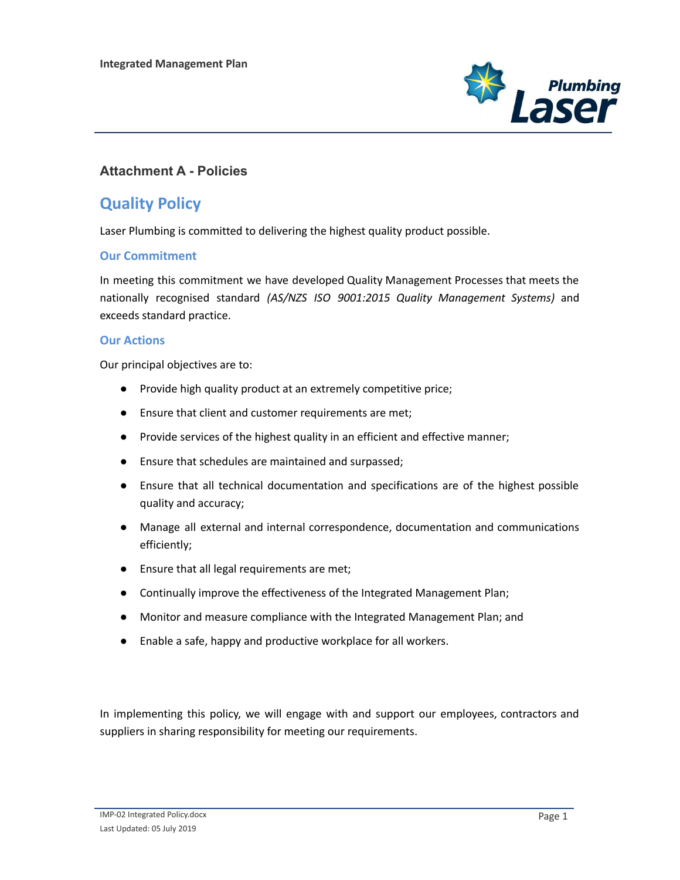

### **Attachment A - Policies**

## **Quality Policy**

Laser Plumbing is committed to delivering the highest quality product possible.

### **Our Commitment**

In meeting this commitment we have developed Quality Management Processes that meets the nationally recognised standard *(AS/NZS ISO 9001:2015 Quality Management Systems)* and exceeds standard practice.

#### **Our Actions**

Our principal objectives are to:

- Provide high quality product at an extremely competitive price;
- Ensure that client and customer requirements are met;
- Provide services of the highest quality in an efficient and effective manner;
- Ensure that schedules are maintained and surpassed;
- Ensure that all technical documentation and specifications are of the highest possible quality and accuracy;
- Manage all external and internal correspondence, documentation and communications efficiently;
- Ensure that all legal requirements are met;
- Continually improve the effectiveness of the Integrated Management Plan;
- Monitor and measure compliance with the Integrated Management Plan; and
- Enable a safe, happy and productive workplace for all workers.

In implementing this policy, we will engage with and support our employees, contractors and suppliers in sharing responsibility for meeting our requirements.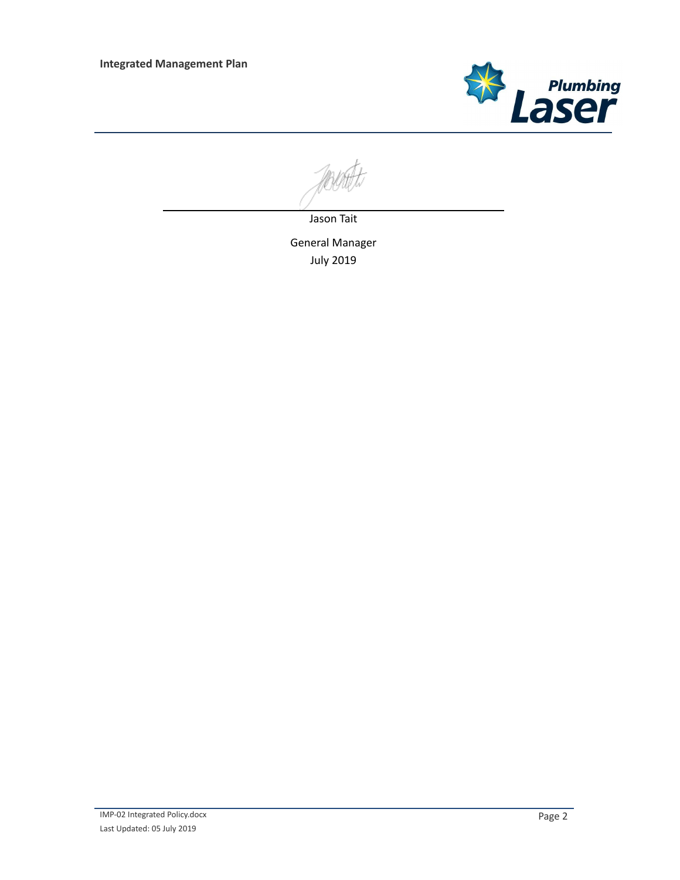

Jason Tait

General Manager July 2019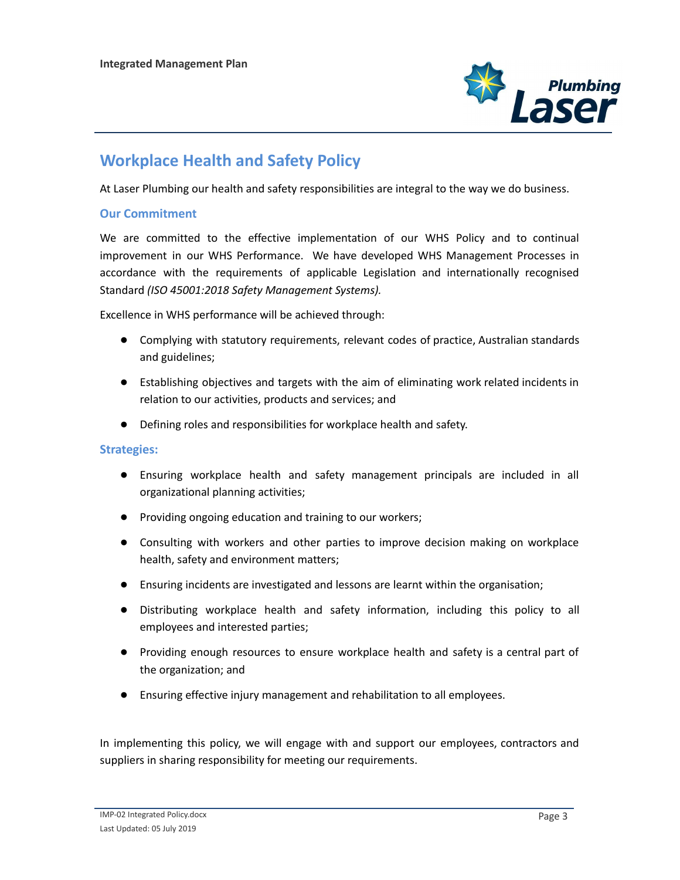

# **Workplace Health and Safety Policy**

At Laser Plumbing our health and safety responsibilities are integral to the way we do business.

#### **Our Commitment**

We are committed to the effective implementation of our WHS Policy and to continual improvement in our WHS Performance. We have developed WHS Management Processes in accordance with the requirements of applicable Legislation and internationally recognised Standard *(ISO 45001:2018 Safety Management Systems).*

Excellence in WHS performance will be achieved through:

- Complying with statutory requirements, relevant codes of practice, Australian standards and guidelines;
- Establishing objectives and targets with the aim of eliminating work related incidents in relation to our activities, products and services; and
- Defining roles and responsibilities for workplace health and safety.

**Strategies:**

- Ensuring workplace health and safety management principals are included in all organizational planning activities;
- Providing ongoing education and training to our workers;
- Consulting with workers and other parties to improve decision making on workplace health, safety and environment matters;
- Ensuring incidents are investigated and lessons are learnt within the organisation;
- Distributing workplace health and safety information, including this policy to all employees and interested parties;
- Providing enough resources to ensure workplace health and safety is a central part of the organization; and
- Ensuring effective injury management and rehabilitation to all employees.

In implementing this policy, we will engage with and support our employees, contractors and suppliers in sharing responsibility for meeting our requirements.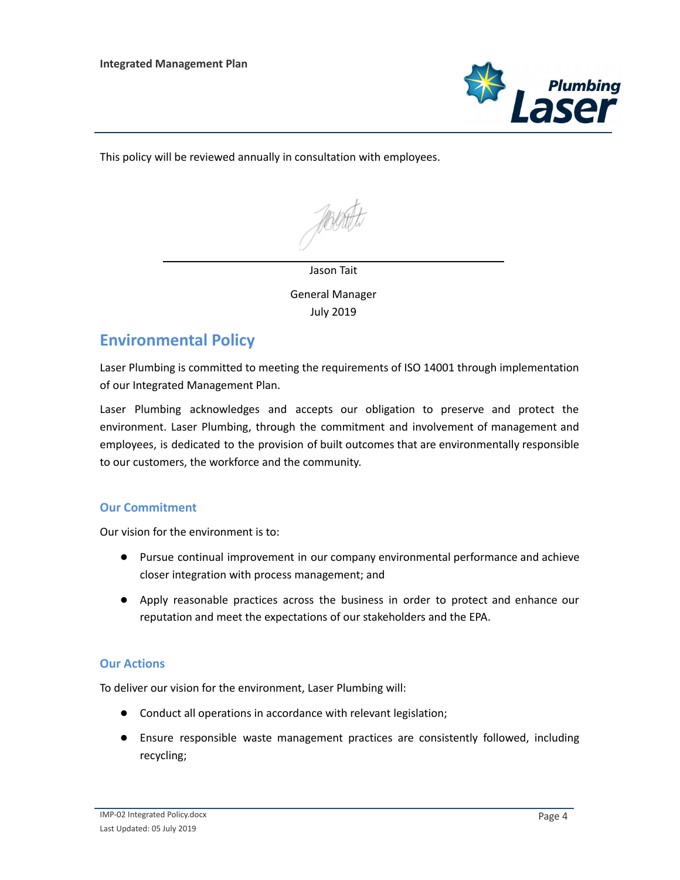

This policy will be reviewed annually in consultation with employees.

#### Jason Tait

General Manager July 2019

## **Environmental Policy**

Laser Plumbing is committed to meeting the requirements of ISO 14001 through implementation of our Integrated Management Plan.

Laser Plumbing acknowledges and accepts our obligation to preserve and protect the environment. Laser Plumbing, through the commitment and involvement of management and employees, is dedicated to the provision of built outcomes that are environmentally responsible to our customers, the workforce and the community.

### **Our Commitment**

Our vision for the environment is to:

- Pursue continual improvement in our company environmental performance and achieve closer integration with process management; and
- Apply reasonable practices across the business in order to protect and enhance our reputation and meet the expectations of our stakeholders and the EPA.

#### **Our Actions**

To deliver our vision for the environment, Laser Plumbing will:

- Conduct all operations in accordance with relevant legislation;
- Ensure responsible waste management practices are consistently followed, including recycling;